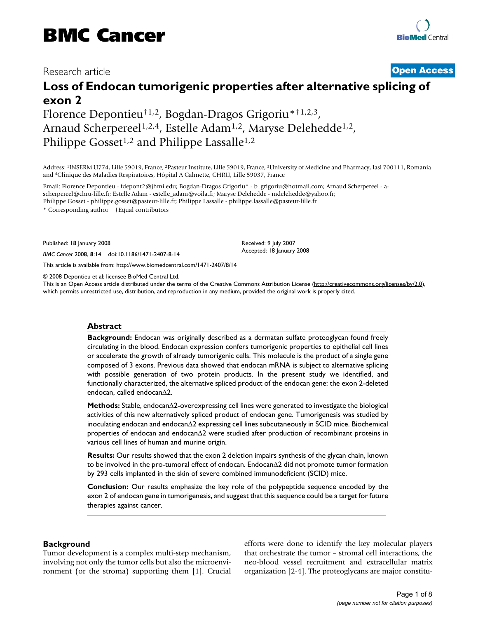# Research article **[Open Access](http://www.biomedcentral.com/info/about/charter/)**

# **Loss of Endocan tumorigenic properties after alternative splicing of exon 2**

Florence Depontieu†1,2, Bogdan-Dragos Grigoriu\*†1,2,3, Arnaud Scherpereel<sup>1,2,4</sup>, Estelle Adam<sup>1,2</sup>, Maryse Delehedde<sup>1,2</sup>, Philippe Gosset<sup>1,2</sup> and Philippe Lassalle<sup>1,2</sup>

Address: 1INSERM U774, Lille 59019, France, 2Pasteur Institute, Lille 59019, France, 3University of Medicine and Pharmacy, Iasi 700111, Romania and 4Clinique des Maladies Respiratoires, Hôpital A Calmette, CHRU, Lille 59037, France

Email: Florence Depontieu - fdepont2@jhmi.edu; Bogdan-Dragos Grigoriu\* - b\_grigoriu@hotmail.com; Arnaud Scherpereel - ascherpereel@chru-lille.fr; Estelle Adam - estelle\_adam@voila.fr; Maryse Delehedde - mdelehedde@yahoo.fr; Philippe Gosset - philippe.gosset@pasteur-lille.fr; Philippe Lassalle - philippe.lassalle@pasteur-lille.fr

\* Corresponding author †Equal contributors

Published: 18 January 2008

*BMC Cancer* 2008, **8**:14 doi:10.1186/1471-2407-8-14

[This article is available from: http://www.biomedcentral.com/1471-2407/8/14](http://www.biomedcentral.com/1471-2407/8/14)

© 2008 Depontieu et al; licensee BioMed Central Ltd.

This is an Open Access article distributed under the terms of the Creative Commons Attribution License [\(http://creativecommons.org/licenses/by/2.0\)](http://creativecommons.org/licenses/by/2.0), which permits unrestricted use, distribution, and reproduction in any medium, provided the original work is properly cited.

Received: 9 July 2007 Accepted: 18 January 2008

#### **Abstract**

**Background:** Endocan was originally described as a dermatan sulfate proteoglycan found freely circulating in the blood. Endocan expression confers tumorigenic properties to epithelial cell lines or accelerate the growth of already tumorigenic cells. This molecule is the product of a single gene composed of 3 exons. Previous data showed that endocan mRNA is subject to alternative splicing with possible generation of two protein products. In the present study we identified, and functionally characterized, the alternative spliced product of the endocan gene: the exon 2-deleted endocan, called endocanΔ2.

**Methods:** Stable, endocanΔ2-overexpressing cell lines were generated to investigate the biological activities of this new alternatively spliced product of endocan gene. Tumorigenesis was studied by inoculating endocan and endocanΔ2 expressing cell lines subcutaneously in SCID mice. Biochemical properties of endocan and endocanΔ2 were studied after production of recombinant proteins in various cell lines of human and murine origin.

**Results:** Our results showed that the exon 2 deletion impairs synthesis of the glycan chain, known to be involved in the pro-tumoral effect of endocan. EndocanΔ2 did not promote tumor formation by 293 cells implanted in the skin of severe combined immunodeficient (SCID) mice.

**Conclusion:** Our results emphasize the key role of the polypeptide sequence encoded by the exon 2 of endocan gene in tumorigenesis, and suggest that this sequence could be a target for future therapies against cancer.

#### **Background**

Tumor development is a complex multi-step mechanism, involving not only the tumor cells but also the microenvironment (or the stroma) supporting them [1]. Crucial efforts were done to identify the key molecular players that orchestrate the tumor – stromal cell interactions, the neo-blood vessel recruitment and extracellular matrix organization [2-4]. The proteoglycans are major constitu-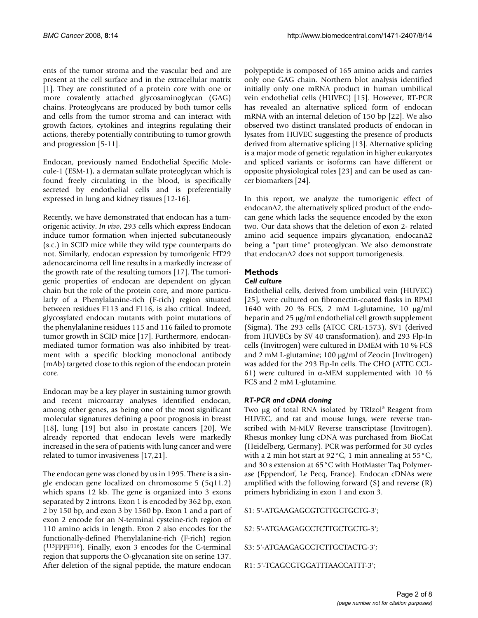ents of the tumor stroma and the vascular bed and are present at the cell surface and in the extracellular matrix [1]. They are constituted of a protein core with one or more covalently attached glycosaminoglycan (GAG) chains. Proteoglycans are produced by both tumor cells and cells from the tumor stroma and can interact with growth factors, cytokines and integrins regulating their actions, thereby potentially contributing to tumor growth and progression [5-11].

Endocan, previously named Endothelial Specific Molecule-1 (ESM-1), a dermatan sulfate proteoglycan which is found freely circulating in the blood, is specifically secreted by endothelial cells and is preferentially expressed in lung and kidney tissues [12-16].

Recently, we have demonstrated that endocan has a tumorigenic activity. *In vivo*, 293 cells which express Endocan induce tumor formation when injected subcutaneously (s.c.) in SCID mice while they wild type counterparts do not. Similarly, endocan expression by tumorigenic HT29 adenocarcinoma cell line results in a markedly increase of the growth rate of the resulting tumors [17]. The tumorigenic properties of endocan are dependent on glycan chain but the role of the protein core, and more particularly of a Phenylalanine-rich (F-rich) region situated between residues F113 and F116, is also critical. Indeed, glycosylated endocan mutants with point mutations of the phenylalanine residues 115 and 116 failed to promote tumor growth in SCID mice [17]. Furthermore, endocanmediated tumor formation was also inhibited by treatment with a specific blocking monoclonal antibody (mAb) targeted close to this region of the endocan protein core.

Endocan may be a key player in sustaining tumor growth and recent microarray analyses identified endocan, among other genes, as being one of the most significant molecular signatures defining a poor prognosis in breast [18], lung [19] but also in prostate cancers [20]. We already reported that endocan levels were markedly increased in the sera of patients with lung cancer and were related to tumor invasiveness [17,21].

The endocan gene was cloned by us in 1995. There is a single endocan gene localized on chromosome 5 (5q11.2) which spans 12 kb. The gene is organized into 3 exons separated by 2 introns. Exon 1 is encoded by 362 bp, exon 2 by 150 bp, and exon 3 by 1560 bp. Exon 1 and a part of exon 2 encode for an N-terminal cysteine-rich region of 110 amino acids in length. Exon 2 also encodes for the functionally-defined Phenylalanine-rich (F-rich) region  $(113FPFF116)$ . Finally, exon 3 encodes for the C-terminal region that supports the O-glycanation site on serine 137. After deletion of the signal peptide, the mature endocan polypeptide is composed of 165 amino acids and carries only one GAG chain. Northern blot analysis identified initially only one mRNA product in human umbilical vein endothelial cells (HUVEC) [15]. However, RT-PCR has revealed an alternative spliced form of endocan mRNA with an internal deletion of 150 bp [22]. We also observed two distinct translated products of endocan in lysates from HUVEC suggesting the presence of products derived from alternative splicing [13]. Alternative splicing is a major mode of genetic regulation in higher eukaryotes and spliced variants or isoforms can have different or opposite physiological roles [23] and can be used as cancer biomarkers [24].

In this report, we analyze the tumorigenic effect of endocanΔ2, the alternatively spliced product of the endocan gene which lacks the sequence encoded by the exon two. Our data shows that the deletion of exon 2- related amino acid sequence impairs glycanation, endocanΔ2 being a "part time" proteoglycan. We also demonstrate that endocanΔ2 does not support tumorigenesis.

# **Methods**

# *Cell culture*

Endothelial cells, derived from umbilical vein (HUVEC) [25], were cultured on fibronectin-coated flasks in RPMI 1640 with 20 % FCS, 2 mM L-glutamine, 10 μg/ml heparin and 25 μg/ml endothelial cell growth supplement (Sigma). The 293 cells (ATCC CRL-1573), SV1 (derived from HUVECs by SV 40 transformation), and 293 Flp-In cells (Invitrogen) were cultured in DMEM with 10 % FCS and 2 mM L-glutamine; 100 μg/ml of Zeocin (Invitrogen) was added for the 293 Flp-In cells. The CHO (ATTC CCL-61) were cultured in α-MEM supplemented with 10 % FCS and 2 mM L-glutamine.

# *RT-PCR and cDNA cloning*

Two μg of total RNA isolated by TRIzol® Reagent from HUVEC, and rat and mouse lungs, were reverse transcribed with M-MLV Reverse transcriptase (Invitrogen). Rhesus monkey lung cDNA was purchased from BioCat (Heidelberg, Germany). PCR was performed for 30 cycles with a 2 min hot start at 92°C, 1 min annealing at 55°C, and 30 s extension at 65°C with HotMaster Taq Polymerase (Eppendorf, Le Pecq, France). Endocan cDNAs were amplified with the following forward (S) and reverse (R) primers hybridizing in exon 1 and exon 3.

S1: 5'-ATGAAGAGCGTCTTGCTGCTG-3';

S2: 5'-ATGAAGAGCCTCTTGCTGCTG-3';

S3: 5'-ATGAAGAGCCTCTTGCTACTG-3';

R1: 5'-TCAGCGTGGATTTAACCATTT-3';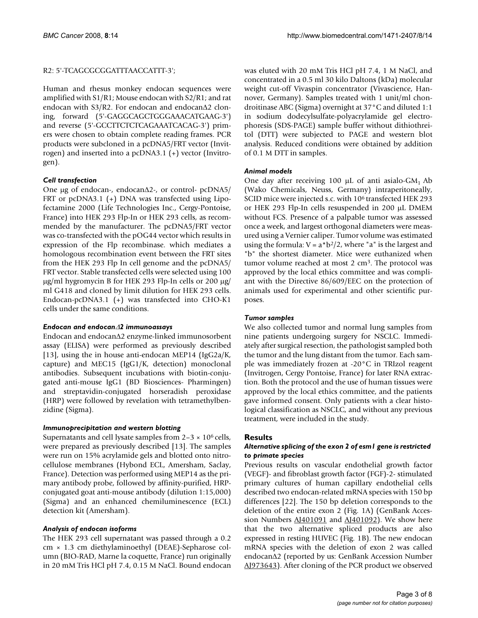#### R2: 5'-TCAGCGCGGATTTAACCATTT-3';

Human and rhesus monkey endocan sequences were amplified with S1/R1; Mouse endocan with S2/R1; and rat endocan with S3/R2. For endocan and endocanΔ2 cloning, forward (5'-GAGGCAGCTGGGAAACATGAAG-3') and reverse (5'-GCCTTCTCTCAGAAATCACAG-3') primers were chosen to obtain complete reading frames. PCR products were subcloned in a pcDNA5/FRT vector (Invitrogen) and inserted into a pcDNA3.1 (+) vector (Invitrogen).

# *Cell transfection*

One μg of endocan-, endocanΔ2-, or control- pcDNA5/ FRT or pcDNA3.1 (+) DNA was transfected using Lipofectamine 2000 (Life Technologies Inc., Cergy-Pontoise, France) into HEK 293 Flp-In or HEK 293 cells, as recommended by the manufacturer. The pcDNA5/FRT vector was co-transfected with the pOG44 vector which results in expression of the Flp recombinase. which mediates a homologous recombination event between the FRT sites from the HEK 293 Flp In cell genome and the pcDNA5/ FRT vector. Stable transfected cells were selected using 100 μg/ml hygromycin B for HEK 293 Flp-In cells or 200 μg/ ml G418 and cloned by limit dilution for HEK 293 cells. Endocan-pcDNA3.1 (+) was transfected into CHO-K1 cells under the same conditions.

#### *Endocan and endocan*Δ*2 immunoassays*

Endocan and endocanΔ2 enzyme-linked immunosorbent assay (ELISA) were performed as previously described [13], using the in house anti-endocan MEP14 (IgG2a/K, capture) and MEC15 (IgG1/K, detection) monoclonal antibodies. Subsequent incubations with biotin-conjugated anti-mouse IgG1 (BD Biosciences- Pharmingen) and streptavidin-conjugated horseradish peroxidase (HRP) were followed by revelation with tetramethylbenzidine (Sigma).

#### *Immunoprecipitation and western blotting*

Supernatants and cell lysate samples from  $2-3 \times 10^6$  cells, were prepared as previously described [13]. The samples were run on 15% acrylamide gels and blotted onto nitrocellulose membranes (Hybond ECL, Amersham, Saclay, France). Detection was performed using MEP14 as the primary antibody probe, followed by affinity-purified, HRPconjugated goat anti-mouse antibody (dilution 1:15,000) (Sigma) and an enhanced chemiluminescence (ECL) detection kit (Amersham).

# *Analysis of endocan isoforms*

The HEK 293 cell supernatant was passed through a 0.2 cm × 1.3 cm diethylaminoethyl (DEAE)-Sepharose column (BIO-RAD, Marne la coquette, France) run originally in 20 mM Tris HCl pH 7.4, 0.15 M NaCl. Bound endocan

was eluted with 20 mM Tris HCl pH 7.4, 1 M NaCl, and concentrated in a 0.5 ml 30 kilo Daltons (kDa) molecular weight cut-off Vivaspin concentrator (Vivascience, Hannover, Germany). Samples treated with 1 unit/ml chondroitinase ABC (Sigma) overnight at 37°C and diluted 1:1 in sodium dodecylsulfate-polyacrylamide gel electrophoresis (SDS-PAGE) sample buffer without dithiothreitol (DTT) were subjected to PAGE and western blot analysis. Reduced conditions were obtained by addition of 0.1 M DTT in samples.

# *Animal models*

One day after receiving 100  $\mu$ L of anti asialo-GM<sub>1</sub> Ab (Wako Chemicals, Neuss, Germany) intraperitoneally, SCID mice were injected s.c. with 10<sup>6</sup> transfected HEK 293 or HEK 293 Flp-In cells resuspended in 200 μL DMEM without FCS. Presence of a palpable tumor was assessed once a week, and largest orthogonal diameters were measured using a Vernier caliper. Tumor volume was estimated using the formula:  $V = a * b^2/2$ , where "a" is the largest and "b" the shortest diameter. Mice were euthanized when tumor volume reached at most 2 cm3. The protocol was approved by the local ethics committee and was compliant with the Directive 86/609/EEC on the protection of animals used for experimental and other scientific purposes.

# *Tumor samples*

We also collected tumor and normal lung samples from nine patients undergoing surgery for NSCLC. Immediately after surgical resection, the pathologist sampled both the tumor and the lung distant from the tumor. Each sample was immediately frozen at -20°C in TRIzol reagent (Invitrogen, Cergy Pontoise, France) for later RNA extraction. Both the protocol and the use of human tissues were approved by the local ethics committee, and the patients gave informed consent. Only patients with a clear histological classification as NSCLC, and without any previous treatment, were included in the study.

# **Results**

#### *Alternative splicing of the exon 2 of esm1 gene is restricted to primate species*

Previous results on vascular endothelial growth factor (VEGF)- and fibroblast growth factor (FGF)-2- stimulated primary cultures of human capillary endothelial cells described two endocan-related mRNA species with 150 bp differences [22]. The 150 bp deletion corresponds to the deletion of the entire exon 2 (Fig. 1A) (GenBank Acces-sion Numbers [AJ401091](http://www.ncbi.nih.gov/entrez/query.fcgi?db=Nucleotide&cmd=search&term=AJ401091) and [AJ401092](http://www.ncbi.nih.gov/entrez/query.fcgi?db=Nucleotide&cmd=search&term=AJ401092)). We show here that the two alternative spliced products are also expressed in resting HUVEC (Fig. 1B). The new endocan mRNA species with the deletion of exon 2 was called endocanΔ2 (reported by us: GenBank Accession Number [AJ973643\)](http://www.ncbi.nih.gov/entrez/query.fcgi?db=Nucleotide&cmd=search&term=AJ973643). After cloning of the PCR product we observed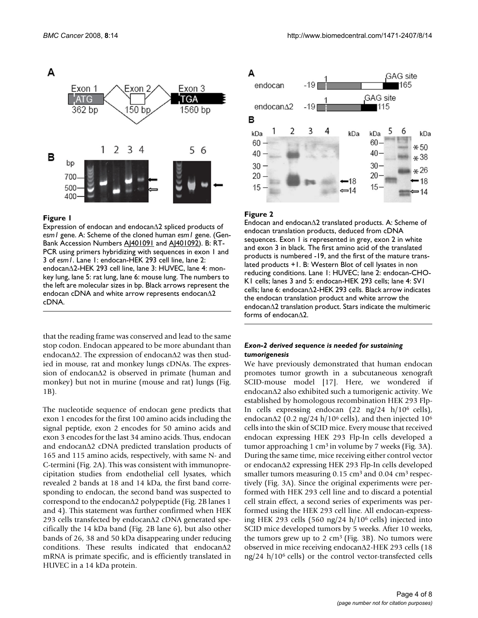

#### **Figure 1**

Expression of endocan and endocanΔ2 spliced products of *esm1* gene. A: Scheme of the cloned human *esm1* gene. (Gen-Bank Accession Numbers A<a>[401091]</a> and A<a>[401092]</a>. B:</a> RT-PCR using primers hybridizing with sequences in exon 1 and 3 of *esm1*. Lane 1: endocan-HEK 293 cell line, lane 2: endocanΔ2-HEK 293 cell line, lane 3: HUVEC, lane 4: monkey lung, lane 5: rat lung, lane 6: mouse lung. The numbers to the left are molecular sizes in bp. Black arrows represent the endocan cDNA and white arrow represents endocanΔ2 cDNA.

that the reading frame was conserved and lead to the same stop codon. Endocan appeared to be more abundant than endocanΔ2. The expression of endocanΔ2 was then studied in mouse, rat and monkey lungs cDNAs. The expression of endocanΔ2 is observed in primate (human and monkey) but not in murine (mouse and rat) lungs (Fig. 1B).

The nucleotide sequence of endocan gene predicts that exon 1 encodes for the first 100 amino acids including the signal peptide, exon 2 encodes for 50 amino acids and exon 3 encodes for the last 34 amino acids. Thus, endocan and endocanΔ2 cDNA predicted translation products of 165 and 115 amino acids, respectively, with same N- and C-termini (Fig. 2A). This was consistent with immunoprecipitation studies from endothelial cell lysates, which revealed 2 bands at 18 and 14 kDa, the first band corresponding to endocan, the second band was suspected to correspond to the endocanΔ2 polypeptide (Fig. 2B lanes 1 and 4). This statement was further confirmed when HEK 293 cells transfected by endocanΔ2 cDNA generated specifically the 14 kDa band (Fig. 2B lane 6), but also other bands of 26, 38 and 50 kDa disappearing under reducing conditions. These results indicated that endocanΔ2 mRNA is primate specific, and is efficiently translated in HUVEC in a 14 kDa protein.



#### **Figure 2**

Endocan and endocanΔ2 translated products. A: Scheme of endocan translation products, deduced from cDNA sequences. Exon 1 is represented in grey, exon 2 in white and exon 3 in black. The first amino acid of the translated products is numbered -19, and the first of the mature translated products +1. B: Western Blot of cell lysates in non reducing conditions. Lane 1: HUVEC; lane 2: endocan-CHO-K1 cells; lanes 3 and 5: endocan-HEK 293 cells; lane 4: SV1 cells; lane 6: endocanΔ2-HEK 293 cells. Black arrow indicates the endocan translation product and white arrow the endocanΔ2 translation product. Stars indicate the multimeric forms of endocanΔ2.

#### *Exon-2 derived sequence is needed for sustaining tumorigenesis*

We have previously demonstrated that human endocan promotes tumor growth in a subcutaneous xenograft SCID-mouse model [17]. Here, we wondered if endocanΔ2 also exhibited such a tumorigenic activity. We established by homologous recombination HEK 293 Flp-In cells expressing endocan  $(22 \text{ ng}/24 \text{ h}/10^6 \text{ cells})$ , endocan $\Delta$ 2 (0.2 ng/24 h/10<sup>6</sup> cells), and then injected 10<sup>6</sup> cells into the skin of SCID mice. Every mouse that received endocan expressing HEK 293 Flp-In cells developed a tumor approaching 1 cm<sup>3</sup> in volume by 7 weeks (Fig. 3A). During the same time, mice receiving either control vector or endocanΔ2 expressing HEK 293 Flp-In cells developed smaller tumors measuring 0.15 cm<sup>3</sup> and 0.04 cm<sup>3</sup> respectively (Fig. 3A). Since the original experiments were performed with HEK 293 cell line and to discard a potential cell strain effect, a second series of experiments was performed using the HEK 293 cell line. All endocan-expressing HEK 293 cells (560 ng/24 h/106 cells) injected into SCID mice developed tumors by 5 weeks. After 10 weeks, the tumors grew up to 2  $\text{cm}^3$  (Fig. 3B). No tumors were observed in mice receiving endocanΔ2-HEK 293 cells (18 ng/24 h/106 cells) or the control vector-transfected cells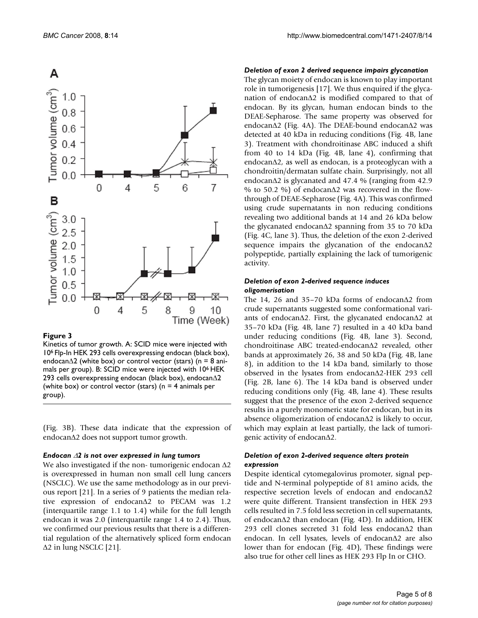

#### **Figure 3**

Kinetics of tumor growth. A: SCID mice were injected with 106 Flp-In HEK 293 cells overexpressing endocan (black box), endocanΔ2 (white box) or control vector (stars) (n = 8 animals per group). B: SCID mice were injected with 106 HEK 293 cells overexpressing endocan (black box), endocanΔ2 (white box) or control vector (stars) ( $n = 4$  animals per group).

(Fig. 3B). These data indicate that the expression of endocanΔ2 does not support tumor growth.

#### *Endocan* Δ*2 is not over expressed in lung tumors*

We also investigated if the non- tumorigenic endocan Δ2 is overexpressed in human non small cell lung cancers (NSCLC). We use the same methodology as in our previous report [21]. In a series of 9 patients the median relative expression of endocanΔ2 to PECAM was 1.2 (interquartile range 1.1 to 1.4) while for the full length endocan it was 2.0 (interquartile range 1.4 to 2.4). Thus, we confirmed our previous results that there is a differential regulation of the alternatively spliced form endocan Δ2 in lung NSCLC [21].

#### *Deletion of exon 2 derived sequence impairs glycanation*

The glycan moiety of endocan is known to play important role in tumorigenesis [17]. We thus enquired if the glycanation of endocanΔ2 is modified compared to that of endocan. By its glycan, human endocan binds to the DEAE-Sepharose. The same property was observed for endocanΔ2 (Fig. 4A). The DEAE-bound endocanΔ2 was detected at 40 kDa in reducing conditions (Fig. 4B, lane 3). Treatment with chondroitinase ABC induced a shift from 40 to 14 kDa (Fig. 4B, lane 4), confirming that endocanΔ2, as well as endocan, is a proteoglycan with a chondroitin/dermatan sulfate chain. Surprisingly, not all endocanΔ2 is glycanated and 47.4 % (ranging from 42.9 % to 50.2 %) of endocanΔ2 was recovered in the flowthrough of DEAE-Sepharose (Fig. 4A). This was confirmed using crude supernatants in non reducing conditions revealing two additional bands at 14 and 26 kDa below the glycanated endocanΔ2 spanning from 35 to 70 kDa (Fig. 4C, lane 3). Thus, the deletion of the exon 2-derived sequence impairs the glycanation of the endocanΔ2 polypeptide, partially explaining the lack of tumorigenic activity.

#### *Deletion of exon 2-derived sequence induces oligomerisation*

The 14, 26 and 35–70 kDa forms of endocanΔ2 from crude supernatants suggested some conformational variants of endocanΔ2. First, the glycanated endocanΔ2 at 35–70 kDa (Fig. 4B, lane 7) resulted in a 40 kDa band under reducing conditions (Fig. 4B, lane 3). Second, chondroitinase ABC treated-endocanΔ2 revealed, other bands at approximately 26, 38 and 50 kDa (Fig. 4B, lane 8), in addition to the 14 kDa band, similarly to those observed in the lysates from endocanΔ2-HEK 293 cell (Fig. 2B, lane 6). The 14 kDa band is observed under reducing conditions only (Fig. 4B, lane 4). These results suggest that the presence of the exon 2-derived sequence results in a purely monomeric state for endocan, but in its absence oligomerization of endocanΔ2 is likely to occur, which may explain at least partially, the lack of tumorigenic activity of endocanΔ2.

#### *Deletion of exon 2-derived sequence alters protein expression*

Despite identical cytomegalovirus promoter, signal peptide and N-terminal polypeptide of 81 amino acids, the respective secretion levels of endocan and endocanΔ2 were quite different. Transient transfection in HEK 293 cells resulted in 7.5 fold less secretion in cell supernatants, of endocanΔ2 than endocan (Fig. 4D). In addition, HEK 293 cell clones secreted 31 fold less endocanΔ2 than endocan. In cell lysates, levels of endocanΔ2 are also lower than for endocan (Fig. 4D), These findings were also true for other cell lines as HEK 293 Flp In or CHO.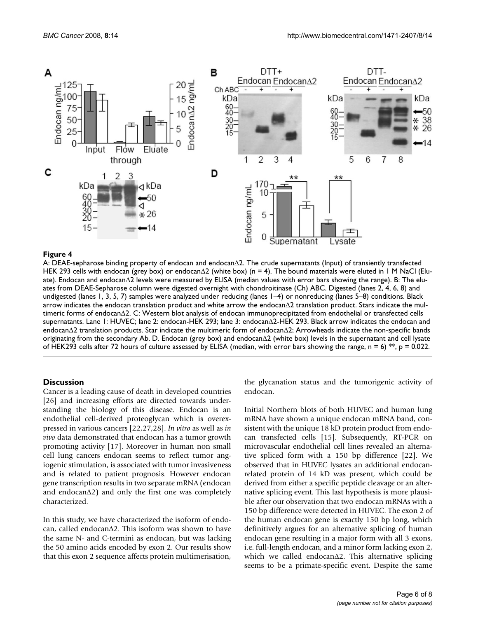

#### Figure 4

A: DEAE-sepharose binding property of endocan and endocanΔ2. The crude supernatants (Input) of transiently transfected HEK 293 cells with endocan (grey box) or endocanΔ2 (white box) (n = 4). The bound materials were eluted in 1 M NaCl (Eluate). Endocan and endocanΔ2 levels were measured by ELISA (median values with error bars showing the range). B: The eluates from DEAE-Sepharose column were digested overnight with chondroitinase (Ch) ABC. Digested (lanes 2, 4, 6, 8) and undigested (lanes 1, 3, 5, 7) samples were analyzed under reducing (lanes 1–4) or nonreducing (lanes 5–8) conditions. Black arrow indicates the endocan translation product and white arrow the endocanΔ2 translation product. Stars indicate the multimeric forms of endocanΔ2. C: Western blot analysis of endocan immunoprecipitated from endothelial or transfected cells supernatants. Lane 1: HUVEC; lane 2: endocan-HEK 293; lane 3: endocanΔ2-HEK 293. Black arrow indicates the endocan and endocanΔ2 translation products. Star indicate the multimeric form of endocanΔ2; Arrowheads indicate the non-specific bands originating from the secondary Ab. D. Endocan (grey box) and endocanΔ2 (white box) levels in the supernatant and cell lysate of HEK293 cells after 72 hours of culture assessed by ELISA (median, with error bars showing the range, n = 6) \*\*, p = 0.022.

#### **Discussion**

Cancer is a leading cause of death in developed countries [26] and increasing efforts are directed towards understanding the biology of this disease. Endocan is an endothelial cell-derived proteoglycan which is overexpressed in various cancers [22,27,28]. *In vitro* as well as *in vivo* data demonstrated that endocan has a tumor growth promoting activity [17]. Moreover in human non small cell lung cancers endocan seems to reflect tumor angiogenic stimulation, is associated with tumor invasiveness and is related to patient prognosis. However endocan gene transcription results in two separate mRNA (endocan and endocanΔ2) and only the first one was completely characterized.

In this study, we have characterized the isoform of endocan, called endocanΔ2. This isoform was shown to have the same N- and C-termini as endocan, but was lacking the 50 amino acids encoded by exon 2. Our results show that this exon 2 sequence affects protein multimerisation,

the glycanation status and the tumorigenic activity of endocan.

Initial Northern blots of both HUVEC and human lung mRNA have shown a unique endocan mRNA band, consistent with the unique 18 kD protein product from endocan transfected cells [15]. Subsequently, RT-PCR on microvascular endothelial cell lines revealed an alternative spliced form with a 150 bp difference [22]. We observed that in HUVEC lysates an additional endocanrelated protein of 14 kD was present, which could be derived from either a specific peptide cleavage or an alternative splicing event. This last hypothesis is more plausible after our observation that two endocan mRNAs with a 150 bp difference were detected in HUVEC. The exon 2 of the human endocan gene is exactly 150 bp long, which definitively argues for an alternative splicing of human endocan gene resulting in a major form with all 3 exons, i.e. full-length endocan, and a minor form lacking exon 2, which we called endocanΔ2. This alternative splicing seems to be a primate-specific event. Despite the same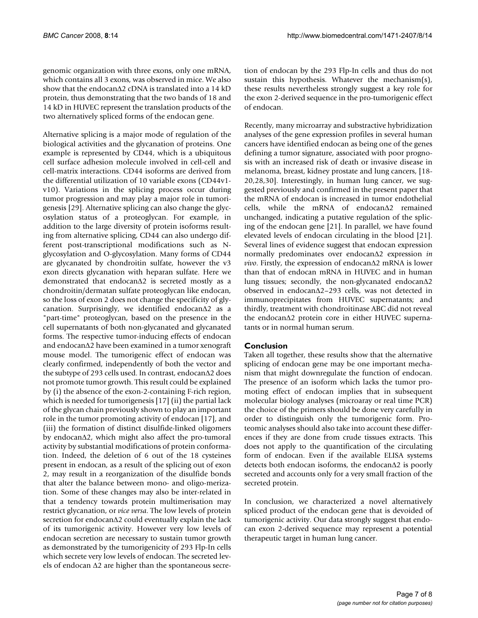genomic organization with three exons, only one mRNA, which contains all 3 exons, was observed in mice. We also show that the endocanΔ2 cDNA is translated into a 14 kD protein, thus demonstrating that the two bands of 18 and 14 kD in HUVEC represent the translation products of the two alternatively spliced forms of the endocan gene.

Alternative splicing is a major mode of regulation of the biological activities and the glycanation of proteins. One example is represented by CD44, which is a ubiquitous cell surface adhesion molecule involved in cell-cell and cell-matrix interactions. CD44 isoforms are derived from the differential utilization of 10 variable exons (CD44v1 v10). Variations in the splicing process occur during tumor progression and may play a major role in tumorigenesis [29]. Alternative splicing can also change the glycosylation status of a proteoglycan. For example, in addition to the large diversity of protein isoforms resulting from alternative splicing, CD44 can also undergo different post-transcriptional modifications such as Nglycosylation and O-glycosylation. Many forms of CD44 are glycanated by chondroitin sulfate, however the v3 exon directs glycanation with heparan sulfate. Here we demonstrated that endocanΔ2 is secreted mostly as a chondroitin/dermatan sulfate proteoglycan like endocan, so the loss of exon 2 does not change the specificity of glycanation. Surprisingly, we identified endocanΔ2 as a "part-time" proteoglycan, based on the presence in the cell supernatants of both non-glycanated and glycanated forms. The respective tumor-inducing effects of endocan and endocanΔ2 have been examined in a tumor xenograft mouse model. The tumorigenic effect of endocan was clearly confirmed, independently of both the vector and the subtype of 293 cells used. In contrast, endocanΔ2 does not promote tumor growth. This result could be explained by (i) the absence of the exon-2-containing F-rich region, which is needed for tumorigenesis [17] (ii) the partial lack of the glycan chain previously shown to play an important role in the tumor promoting activity of endocan [17], and (iii) the formation of distinct disulfide-linked oligomers by endocanΔ2, which might also affect the pro-tumoral activity by substantial modifications of protein conformation. Indeed, the deletion of 6 out of the 18 cysteines present in endocan, as a result of the splicing out of exon 2, may result in a reorganization of the disulfide bonds that alter the balance between mono- and oligo-merization. Some of these changes may also be inter-related in that a tendency towards protein multimerisation may restrict glycanation, or *vice versa*. The low levels of protein secretion for endocanΔ2 could eventually explain the lack of its tumorigenic activity. However very low levels of endocan secretion are necessary to sustain tumor growth as demonstrated by the tumorigenicity of 293 Flp-In cells which secrete very low levels of endocan. The secreted levels of endocan Δ2 are higher than the spontaneous secretion of endocan by the 293 Flp-In cells and thus do not sustain this hypothesis. Whatever the mechanism(s), these results nevertheless strongly suggest a key role for the exon 2-derived sequence in the pro-tumorigenic effect of endocan.

Recently, many microarray and substractive hybridization analyses of the gene expression profiles in several human cancers have identified endocan as being one of the genes defining a tumor signature, associated with poor prognosis with an increased risk of death or invasive disease in melanoma, breast, kidney prostate and lung cancers, [18- 20,28,30]. Interestingly, in human lung cancer, we suggested previously and confirmed in the present paper that the mRNA of endocan is increased in tumor endothelial cells, while the mRNA of endocanΔ2 remained unchanged, indicating a putative regulation of the splicing of the endocan gene [21]. In parallel, we have found elevated levels of endocan circulating in the blood [21]. Several lines of evidence suggest that endocan expression normally predominates over endocanΔ2 expression *in vivo*. Firstly, the expression of endocanΔ2 mRNA is lower than that of endocan mRNA in HUVEC and in human lung tissues; secondly, the non-glycanated endocanΔ2 observed in endocanΔ2–293 cells, was not detected in immunoprecipitates from HUVEC supernatants; and thirdly, treatment with chondroitinase ABC did not reveal the endocanΔ2 protein core in either HUVEC supernatants or in normal human serum.

# **Conclusion**

Taken all together, these results show that the alternative splicing of endocan gene may be one important mechanism that might downregulate the function of endocan. The presence of an isoform which lacks the tumor promoting effect of endocan implies that in subsequent molecular biology analyses (microaray or real time PCR) the choice of the primers should be done very carefully in order to distinguish only the tumorigenic form. Proteomic analyses should also take into account these differences if they are done from crude tissues extracts. This does not apply to the quantification of the circulating form of endocan. Even if the available ELISA systems detects both endocan isoforms, the endocanΔ2 is poorly secreted and accounts only for a very small fraction of the secreted protein.

In conclusion, we characterized a novel alternatively spliced product of the endocan gene that is devoided of tumorigenic activity. Our data strongly suggest that endocan exon 2-derived sequence may represent a potential therapeutic target in human lung cancer.